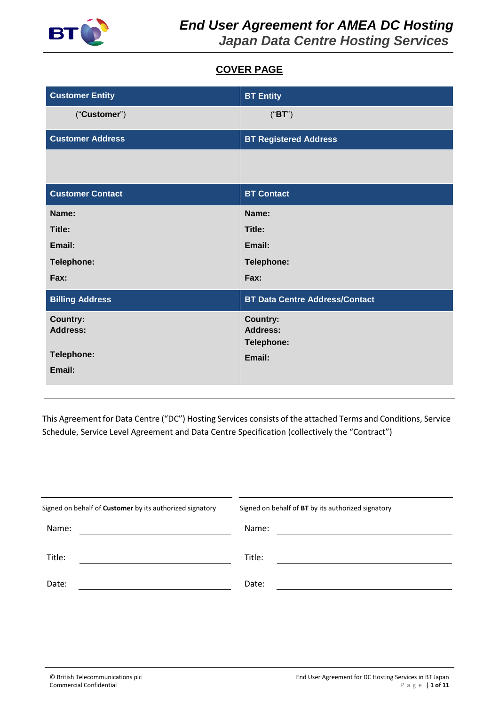

# **COVER PAGE**

| <b>Customer Entity</b>  | <b>BT Entity</b>                      |
|-------------------------|---------------------------------------|
| ("Customer")            | ("BT")                                |
| <b>Customer Address</b> | <b>BT Registered Address</b>          |
|                         |                                       |
| <b>Customer Contact</b> | <b>BT Contact</b>                     |
| Name:                   | Name:                                 |
| Title:                  | Title:                                |
| Email:                  | Email:                                |
| Telephone:              | Telephone:                            |
| Fax:                    | Fax:                                  |
| <b>Billing Address</b>  | <b>BT Data Centre Address/Contact</b> |
| <b>Country:</b>         | <b>Country:</b>                       |
| <b>Address:</b>         | <b>Address:</b><br>Telephone:         |
| Telephone:              | Email:                                |
| Email:                  |                                       |

This Agreement for Data Centre ("DC") Hosting Services consists of the attached Terms and Conditions, Service Schedule, Service Level Agreement and Data Centre Specification (collectively the "Contract")

| Signed on behalf of <b>Customer</b> by its authorized signatory | Signed on behalf of BT by its authorized signatory |
|-----------------------------------------------------------------|----------------------------------------------------|
| Name:                                                           | Name:                                              |
| Title:                                                          | Title:                                             |
| Date:                                                           | Date:                                              |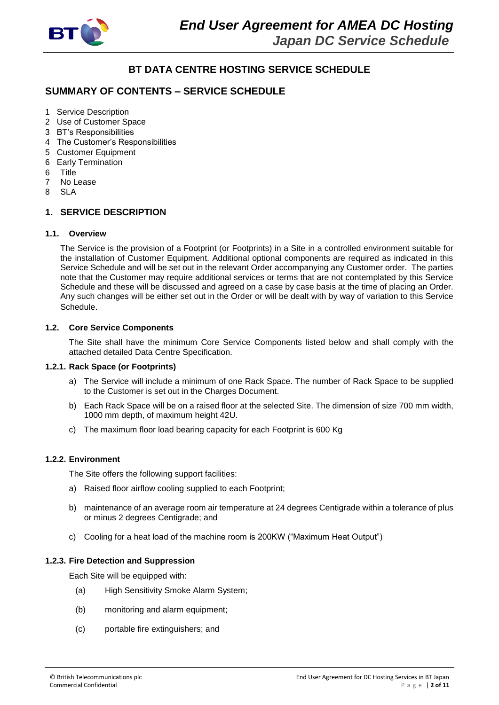

# **BT DATA CENTRE HOSTING SERVICE SCHEDULE**

# **SUMMARY OF CONTENTS – SERVICE SCHEDULE**

- 1 Service Description
- 2 Use of Customer Space
- 3 BT's Responsibilities
- 4 The Customer's Responsibilities
- 5 Customer Equipment
- 6 Early Termination
- 6 Title
- 7 No Lease
- 8 SLA

# **1. SERVICE DESCRIPTION**

#### **1.1. Overview**

The Service is the provision of a Footprint (or Footprints) in a Site in a controlled environment suitable for the installation of Customer Equipment. Additional optional components are required as indicated in this Service Schedule and will be set out in the relevant Order accompanying any Customer order. The parties note that the Customer may require additional services or terms that are not contemplated by this Service Schedule and these will be discussed and agreed on a case by case basis at the time of placing an Order. Any such changes will be either set out in the Order or will be dealt with by way of variation to this Service Schedule.

#### **1.2. Core Service Components**

The Site shall have the minimum Core Service Components listed below and shall comply with the attached detailed Data Centre Specification.

#### **1.2.1. Rack Space (or Footprints)**

- a) The Service will include a minimum of one Rack Space. The number of Rack Space to be supplied to the Customer is set out in the Charges Document.
- b) Each Rack Space will be on a raised floor at the selected Site. The dimension of size 700 mm width, 1000 mm depth, of maximum height 42U.
- c) The maximum floor load bearing capacity for each Footprint is 600 Kg

#### **1.2.2. Environment**

The Site offers the following support facilities:

- a) Raised floor airflow cooling supplied to each Footprint;
- b) maintenance of an average room air temperature at 24 degrees Centigrade within a tolerance of plus or minus 2 degrees Centigrade; and
- c) Cooling for a heat load of the machine room is 200KW ("Maximum Heat Output")

#### **1.2.3. Fire Detection and Suppression**

Each Site will be equipped with:

- (a) High Sensitivity Smoke Alarm System;
- (b) monitoring and alarm equipment;
- (c) portable fire extinguishers; and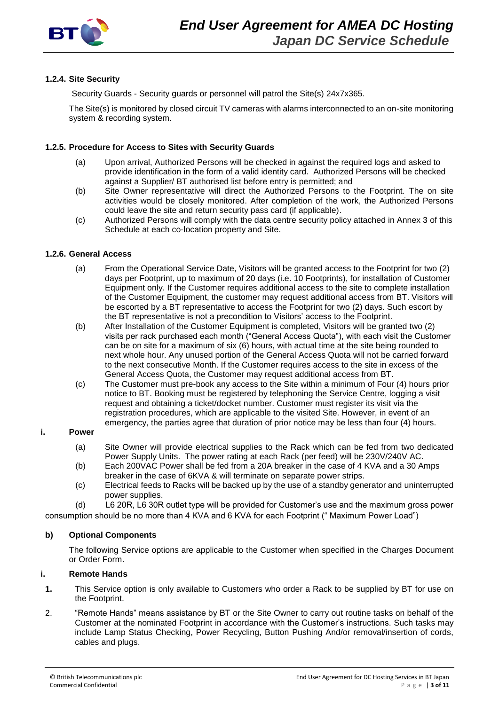

#### **1.2.4. Site Security**

Security Guards - Security guards or personnel will patrol the Site(s) 24x7x365.

The Site(s) is monitored by closed circuit TV cameras with alarms interconnected to an on-site monitoring system & recording system.

#### **1.2.5. Procedure for Access to Sites with Security Guards**

- (a) Upon arrival, Authorized Persons will be checked in against the required logs and asked to provide identification in the form of a valid identity card. Authorized Persons will be checked against a Supplier/ BT authorised list before entry is permitted; and
- (b) Site Owner representative will direct the Authorized Persons to the Footprint. The on site activities would be closely monitored. After completion of the work, the Authorized Persons could leave the site and return security pass card (if applicable).
- (c) Authorized Persons will comply with the data centre security policy attached in Annex 3 of this Schedule at each co-location property and Site.

#### **1.2.6. General Access**

- (a) From the Operational Service Date, Visitors will be granted access to the Footprint for two (2) days per Footprint, up to maximum of 20 days (i.e. 10 Footprints), for installation of Customer Equipment only. If the Customer requires additional access to the site to complete installation of the Customer Equipment, the customer may request additional access from BT. Visitors will be escorted by a BT representative to access the Footprint for two (2) days. Such escort by the BT representative is not a precondition to Visitors' access to the Footprint.
- (b) After Installation of the Customer Equipment is completed, Visitors will be granted two (2) visits per rack purchased each month ("General Access Quota"), with each visit the Customer can be on site for a maximum of six (6) hours, with actual time at the site being rounded to next whole hour. Any unused portion of the General Access Quota will not be carried forward to the next consecutive Month. If the Customer requires access to the site in excess of the General Access Quota, the Customer may request additional access from BT.
- (c) The Customer must pre-book any access to the Site within a minimum of Four (4) hours prior notice to BT. Booking must be registered by telephoning the Service Centre, logging a visit request and obtaining a ticket/docket number. Customer must register its visit via the registration procedures, which are applicable to the visited Site. However, in event of an emergency, the parties agree that duration of prior notice may be less than four (4) hours.

#### **i. Power**

- (a) Site Owner will provide electrical supplies to the Rack which can be fed from two dedicated Power Supply Units. The power rating at each Rack (per feed) will be 230V/240V AC.
- (b) Each 200VAC Power shall be fed from a 20A breaker in the case of 4 KVA and a 30 Amps breaker in the case of 6KVA & will terminate on separate power strips.
- (c) Electrical feeds to Racks will be backed up by the use of a standby generator and uninterrupted power supplies.

(d) L6 20R, L6 30R outlet type will be provided for Customer's use and the maximum gross power

consumption should be no more than 4 KVA and 6 KVA for each Footprint (" Maximum Power Load")

#### **b) Optional Components**

The following Service options are applicable to the Customer when specified in the Charges Document or Order Form.

# **i. Remote Hands**

- **1.** This Service option is only available to Customers who order a Rack to be supplied by BT for use on the Footprint.
- 2. "Remote Hands" means assistance by BT or the Site Owner to carry out routine tasks on behalf of the Customer at the nominated Footprint in accordance with the Customer's instructions. Such tasks may include Lamp Status Checking, Power Recycling, Button Pushing And/or removal/insertion of cords, cables and plugs.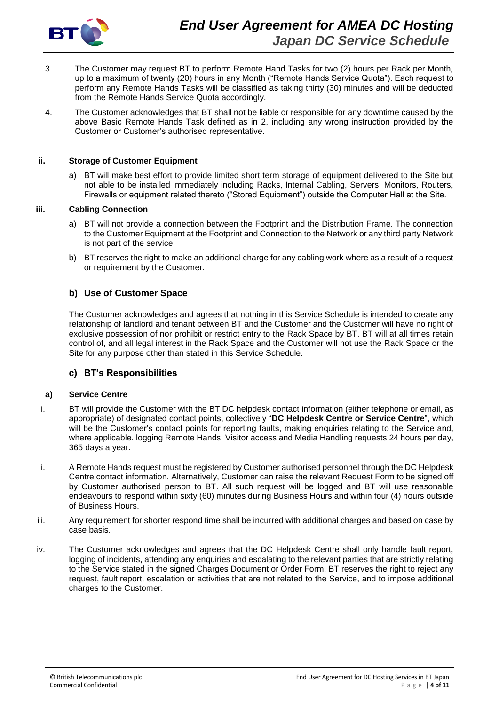

- 3. The Customer may request BT to perform Remote Hand Tasks for two (2) hours per Rack per Month, up to a maximum of twenty (20) hours in any Month ("Remote Hands Service Quota"). Each request to perform any Remote Hands Tasks will be classified as taking thirty (30) minutes and will be deducted from the Remote Hands Service Quota accordingly.
- 4. The Customer acknowledges that BT shall not be liable or responsible for any downtime caused by the above Basic Remote Hands Task defined as in 2, including any wrong instruction provided by the Customer or Customer's authorised representative.

#### **ii. Storage of Customer Equipment**

a) BT will make best effort to provide limited short term storage of equipment delivered to the Site but not able to be installed immediately including Racks, Internal Cabling, Servers, Monitors, Routers, Firewalls or equipment related thereto ("Stored Equipment") outside the Computer Hall at the Site.

#### **iii. Cabling Connection**

- a) BT will not provide a connection between the Footprint and the Distribution Frame. The connection to the Customer Equipment at the Footprint and Connection to the Network or any third party Network is not part of the service.
- b) BT reserves the right to make an additional charge for any cabling work where as a result of a request or requirement by the Customer.

### **b) Use of Customer Space**

The Customer acknowledges and agrees that nothing in this Service Schedule is intended to create any relationship of landlord and tenant between BT and the Customer and the Customer will have no right of exclusive possession of nor prohibit or restrict entry to the Rack Space by BT. BT will at all times retain control of, and all legal interest in the Rack Space and the Customer will not use the Rack Space or the Site for any purpose other than stated in this Service Schedule.

#### **c) BT's Responsibilities**

#### **a) Service Centre**

- i. BT will provide the Customer with the BT DC helpdesk contact information (either telephone or email, as appropriate) of designated contact points, collectively "**DC Helpdesk Centre or Service Centre**", which will be the Customer's contact points for reporting faults, making enquiries relating to the Service and, where applicable. logging Remote Hands, Visitor access and Media Handling requests 24 hours per day, 365 days a year.
- ii. A Remote Hands request must be registered by Customer authorised personnel through the DC Helpdesk Centre contact information. Alternatively, Customer can raise the relevant Request Form to be signed off by Customer authorised person to BT. All such request will be logged and BT will use reasonable endeavours to respond within sixty (60) minutes during Business Hours and within four (4) hours outside of Business Hours.
- iii. Any requirement for shorter respond time shall be incurred with additional charges and based on case by case basis.
- iv. The Customer acknowledges and agrees that the DC Helpdesk Centre shall only handle fault report, logging of incidents, attending any enquiries and escalating to the relevant parties that are strictly relating to the Service stated in the signed Charges Document or Order Form. BT reserves the right to reject any request, fault report, escalation or activities that are not related to the Service, and to impose additional charges to the Customer.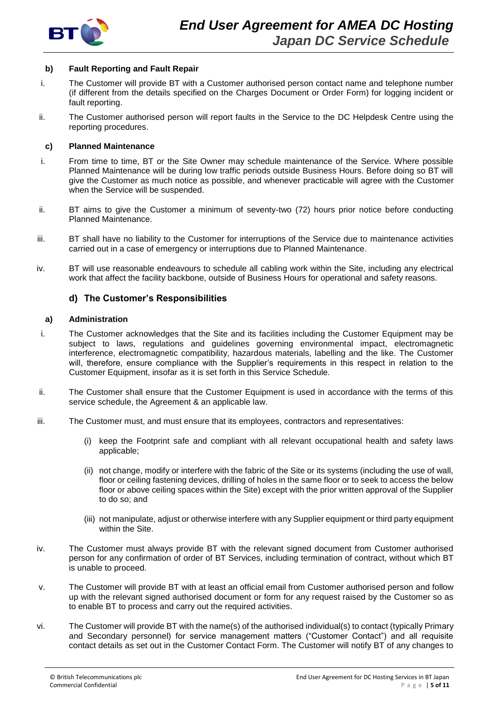

#### **b) Fault Reporting and Fault Repair**

- i. The Customer will provide BT with a Customer authorised person contact name and telephone number (if different from the details specified on the Charges Document or Order Form) for logging incident or fault reporting.
- ii. The Customer authorised person will report faults in the Service to the DC Helpdesk Centre using the reporting procedures.

#### **c) Planned Maintenance**

- i. From time to time, BT or the Site Owner may schedule maintenance of the Service. Where possible Planned Maintenance will be during low traffic periods outside Business Hours. Before doing so BT will give the Customer as much notice as possible, and whenever practicable will agree with the Customer when the Service will be suspended.
- ii. BT aims to give the Customer a minimum of seventy-two (72) hours prior notice before conducting Planned Maintenance.
- iii. BT shall have no liability to the Customer for interruptions of the Service due to maintenance activities carried out in a case of emergency or interruptions due to Planned Maintenance.
- iv. BT will use reasonable endeavours to schedule all cabling work within the Site, including any electrical work that affect the facility backbone, outside of Business Hours for operational and safety reasons.

#### **d) The Customer's Responsibilities**

#### **a) Administration**

- i. The Customer acknowledges that the Site and its facilities including the Customer Equipment may be subject to laws, regulations and guidelines governing environmental impact, electromagnetic interference, electromagnetic compatibility, hazardous materials, labelling and the like. The Customer will, therefore, ensure compliance with the Supplier's requirements in this respect in relation to the Customer Equipment, insofar as it is set forth in this Service Schedule.
- ii. The Customer shall ensure that the Customer Equipment is used in accordance with the terms of this service schedule, the Agreement & an applicable law.
- iii. The Customer must, and must ensure that its employees, contractors and representatives:
	- (i) keep the Footprint safe and compliant with all relevant occupational health and safety laws applicable;
	- (ii) not change, modify or interfere with the fabric of the Site or its systems (including the use of wall, floor or ceiling fastening devices, drilling of holes in the same floor or to seek to access the below floor or above ceiling spaces within the Site) except with the prior written approval of the Supplier to do so; and
	- (iii) not manipulate, adjust or otherwise interfere with any Supplier equipment or third party equipment within the Site.
- iv. The Customer must always provide BT with the relevant signed document from Customer authorised person for any confirmation of order of BT Services, including termination of contract, without which BT is unable to proceed.
- v. The Customer will provide BT with at least an official email from Customer authorised person and follow up with the relevant signed authorised document or form for any request raised by the Customer so as to enable BT to process and carry out the required activities.
- vi. The Customer will provide BT with the name(s) of the authorised individual(s) to contact (typically Primary and Secondary personnel) for service management matters ("Customer Contact") and all requisite contact details as set out in the Customer Contact Form. The Customer will notify BT of any changes to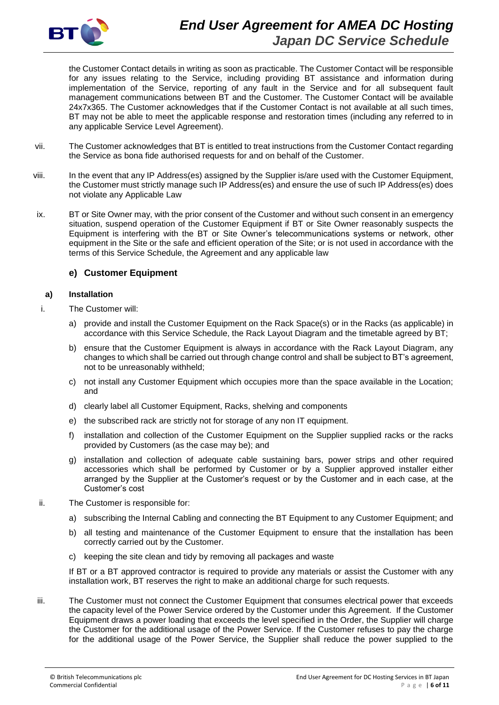

the Customer Contact details in writing as soon as practicable. The Customer Contact will be responsible for any issues relating to the Service, including providing BT assistance and information during implementation of the Service, reporting of any fault in the Service and for all subsequent fault management communications between BT and the Customer. The Customer Contact will be available 24x7x365. The Customer acknowledges that if the Customer Contact is not available at all such times, BT may not be able to meet the applicable response and restoration times (including any referred to in any applicable Service Level Agreement).

- vii. The Customer acknowledges that BT is entitled to treat instructions from the Customer Contact regarding the Service as bona fide authorised requests for and on behalf of the Customer.
- viii. In the event that any IP Address(es) assigned by the Supplier is/are used with the Customer Equipment, the Customer must strictly manage such IP Address(es) and ensure the use of such IP Address(es) does not violate any Applicable Law
- ix. BT or Site Owner may, with the prior consent of the Customer and without such consent in an emergency situation, suspend operation of the Customer Equipment if BT or Site Owner reasonably suspects the Equipment is interfering with the BT or Site Owner's telecommunications systems or network, other equipment in the Site or the safe and efficient operation of the Site; or is not used in accordance with the terms of this Service Schedule, the Agreement and any applicable law

# **e) Customer Equipment**

#### **a) Installation**

- i. The Customer will:
	- a) provide and install the Customer Equipment on the Rack Space(s) or in the Racks (as applicable) in accordance with this Service Schedule, the Rack Layout Diagram and the timetable agreed by BT;
	- b) ensure that the Customer Equipment is always in accordance with the Rack Layout Diagram, any changes to which shall be carried out through change control and shall be subject to BT's agreement, not to be unreasonably withheld;
	- c) not install any Customer Equipment which occupies more than the space available in the Location; and
	- d) clearly label all Customer Equipment, Racks, shelving and components
	- e) the subscribed rack are strictly not for storage of any non IT equipment.
	- f) installation and collection of the Customer Equipment on the Supplier supplied racks or the racks provided by Customers (as the case may be); and
	- g) installation and collection of adequate cable sustaining bars, power strips and other required accessories which shall be performed by Customer or by a Supplier approved installer either arranged by the Supplier at the Customer's request or by the Customer and in each case, at the Customer's cost
- ii. The Customer is responsible for:
	- a) subscribing the Internal Cabling and connecting the BT Equipment to any Customer Equipment; and
	- b) all testing and maintenance of the Customer Equipment to ensure that the installation has been correctly carried out by the Customer.
	- c) keeping the site clean and tidy by removing all packages and waste

If BT or a BT approved contractor is required to provide any materials or assist the Customer with any installation work, BT reserves the right to make an additional charge for such requests.

iii. The Customer must not connect the Customer Equipment that consumes electrical power that exceeds the capacity level of the Power Service ordered by the Customer under this Agreement. If the Customer Equipment draws a power loading that exceeds the level specified in the Order, the Supplier will charge the Customer for the additional usage of the Power Service. If the Customer refuses to pay the charge for the additional usage of the Power Service, the Supplier shall reduce the power supplied to the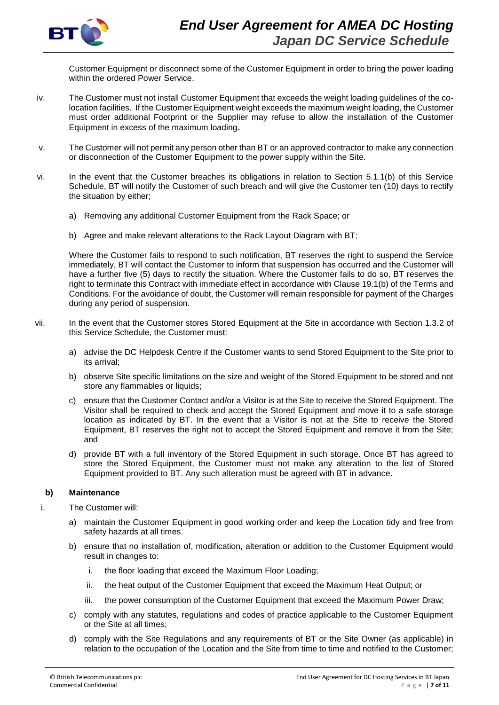

Customer Equipment or disconnect some of the Customer Equipment in order to bring the power loading within the ordered Power Service.

- iv. The Customer must not install Customer Equipment that exceeds the weight loading guidelines of the colocation facilities. If the Customer Equipment weight exceeds the maximum weight loading, the Customer must order additional Footprint or the Supplier may refuse to allow the installation of the Customer Equipment in excess of the maximum loading.
- v. The Customer will not permit any person other than BT or an approved contractor to make any connection or disconnection of the Customer Equipment to the power supply within the Site.
- vi. In the event that the Customer breaches its obligations in relation to Section 5.1.1(b) of this Service Schedule, BT will notify the Customer of such breach and will give the Customer ten (10) days to rectify the situation by either;
	- a) Removing any additional Customer Equipment from the Rack Space; or
	- b) Agree and make relevant alterations to the Rack Layout Diagram with BT;

Where the Customer fails to respond to such notification, BT reserves the right to suspend the Service immediately, BT will contact the Customer to inform that suspension has occurred and the Customer will have a further five (5) days to rectify the situation. Where the Customer fails to do so, BT reserves the right to terminate this Contract with immediate effect in accordance with Clause 19.1(b) of the Terms and Conditions. For the avoidance of doubt, the Customer will remain responsible for payment of the Charges during any period of suspension.

- vii. In the event that the Customer stores Stored Equipment at the Site in accordance with Section 1.3.2 of this Service Schedule, the Customer must:
	- a) advise the DC Helpdesk Centre if the Customer wants to send Stored Equipment to the Site prior to its arrival;
	- b) observe Site specific limitations on the size and weight of the Stored Equipment to be stored and not store any flammables or liquids;
	- c) ensure that the Customer Contact and/or a Visitor is at the Site to receive the Stored Equipment. The Visitor shall be required to check and accept the Stored Equipment and move it to a safe storage location as indicated by BT. In the event that a Visitor is not at the Site to receive the Stored Equipment, BT reserves the right not to accept the Stored Equipment and remove it from the Site; and
	- d) provide BT with a full inventory of the Stored Equipment in such storage. Once BT has agreed to store the Stored Equipment, the Customer must not make any alteration to the list of Stored Equipment provided to BT. Any such alteration must be agreed with BT in advance.

# **b) Maintenance**

- i. The Customer will:
	- a) maintain the Customer Equipment in good working order and keep the Location tidy and free from safety hazards at all times.
	- b) ensure that no installation of, modification, alteration or addition to the Customer Equipment would result in changes to:
		- i. the floor loading that exceed the Maximum Floor Loading;
		- ii. the heat output of the Customer Equipment that exceed the Maximum Heat Output; or
		- iii. the power consumption of the Customer Equipment that exceed the Maximum Power Draw;
	- c) comply with any statutes, regulations and codes of practice applicable to the Customer Equipment or the Site at all times;
	- d) comply with the Site Regulations and any requirements of BT or the Site Owner (as applicable) in relation to the occupation of the Location and the Site from time to time and notified to the Customer;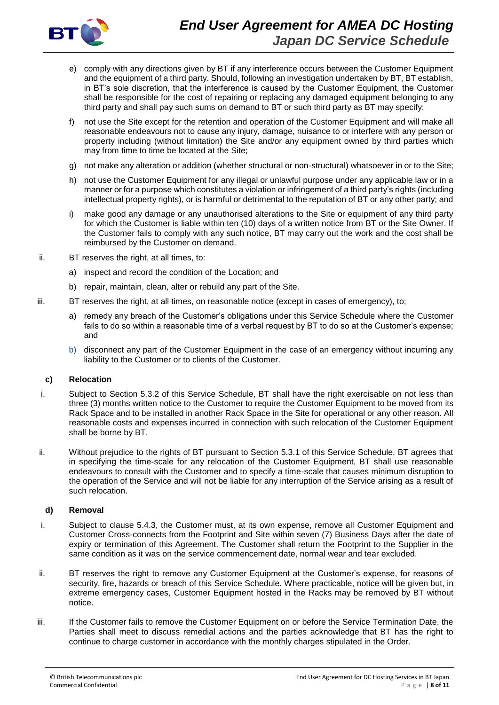

- e) comply with any directions given by BT if any interference occurs between the Customer Equipment and the equipment of a third party. Should, following an investigation undertaken by BT, BT establish, in BT's sole discretion, that the interference is caused by the Customer Equipment, the Customer shall be responsible for the cost of repairing or replacing any damaged equipment belonging to any third party and shall pay such sums on demand to BT or such third party as BT may specify;
- f) not use the Site except for the retention and operation of the Customer Equipment and will make all reasonable endeavours not to cause any injury, damage, nuisance to or interfere with any person or property including (without limitation) the Site and/or any equipment owned by third parties which may from time to time be located at the Site;
- g) not make any alteration or addition (whether structural or non-structural) whatsoever in or to the Site;
- h) not use the Customer Equipment for any illegal or unlawful purpose under any applicable law or in a manner or for a purpose which constitutes a violation or infringement of a third party's rights (including intellectual property rights), or is harmful or detrimental to the reputation of BT or any other party; and
- i) make good any damage or any unauthorised alterations to the Site or equipment of any third party for which the Customer is liable within ten (10) days of a written notice from BT or the Site Owner. If the Customer fails to comply with any such notice, BT may carry out the work and the cost shall be reimbursed by the Customer on demand.
- ii. BT reserves the right, at all times, to:
	- a) inspect and record the condition of the Location; and
	- b) repair, maintain, clean, alter or rebuild any part of the Site.
- iii. BT reserves the right, at all times, on reasonable notice (except in cases of emergency), to;
	- a) remedy any breach of the Customer's obligations under this Service Schedule where the Customer fails to do so within a reasonable time of a verbal request by BT to do so at the Customer's expense; and
	- b) disconnect any part of the Customer Equipment in the case of an emergency without incurring any liability to the Customer or to clients of the Customer.

#### **c) Relocation**

- i. Subject to Section 5.3.2 of this Service Schedule, BT shall have the right exercisable on not less than three (3) months written notice to the Customer to require the Customer Equipment to be moved from its Rack Space and to be installed in another Rack Space in the Site for operational or any other reason. All reasonable costs and expenses incurred in connection with such relocation of the Customer Equipment shall be borne by BT.
- ii. Without prejudice to the rights of BT pursuant to Section 5.3.1 of this Service Schedule, BT agrees that in specifying the time-scale for any relocation of the Customer Equipment, BT shall use reasonable endeavours to consult with the Customer and to specify a time-scale that causes minimum disruption to the operation of the Service and will not be liable for any interruption of the Service arising as a result of such relocation.

#### **d) Removal**

- i. Subject to clause 5.4.3, the Customer must, at its own expense, remove all Customer Equipment and Customer Cross-connects from the Footprint and Site within seven (7) Business Days after the date of expiry or termination of this Agreement. The Customer shall return the Footprint to the Supplier in the same condition as it was on the service commencement date, normal wear and tear excluded.
- ii. BT reserves the right to remove any Customer Equipment at the Customer's expense, for reasons of security, fire, hazards or breach of this Service Schedule. Where practicable, notice will be given but, in extreme emergency cases, Customer Equipment hosted in the Racks may be removed by BT without notice.
- iii. If the Customer fails to remove the Customer Equipment on or before the Service Termination Date, the Parties shall meet to discuss remedial actions and the parties acknowledge that BT has the right to continue to charge customer in accordance with the monthly charges stipulated in the Order.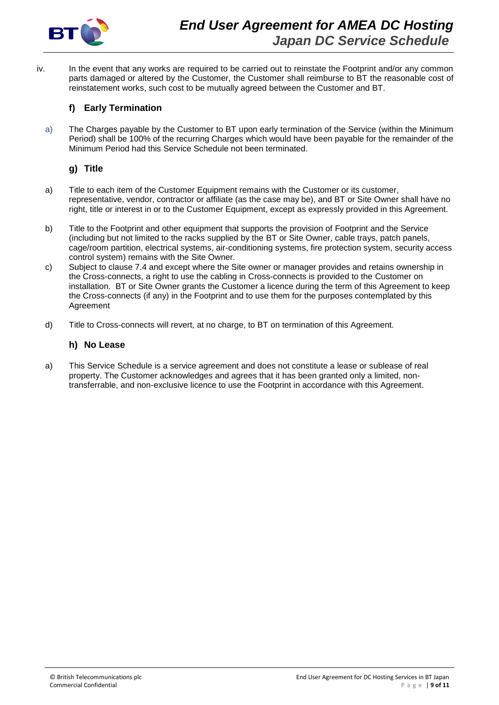

iv. In the event that any works are required to be carried out to reinstate the Footprint and/or any common parts damaged or altered by the Customer, the Customer shall reimburse to BT the reasonable cost of reinstatement works, such cost to be mutually agreed between the Customer and BT.

# **f) Early Termination**

a) The Charges payable by the Customer to BT upon early termination of the Service (within the Minimum Period) shall be 100% of the recurring Charges which would have been payable for the remainder of the Minimum Period had this Service Schedule not been terminated.

# **g) Title**

- a) Title to each item of the Customer Equipment remains with the Customer or its customer, representative, vendor, contractor or affiliate (as the case may be), and BT or Site Owner shall have no right, title or interest in or to the Customer Equipment, except as expressly provided in this Agreement.
- b) Title to the Footprint and other equipment that supports the provision of Footprint and the Service (including but not limited to the racks supplied by the BT or Site Owner, cable trays, patch panels, cage/room partition, electrical systems, air-conditioning systems, fire protection system, security access control system) remains with the Site Owner.
- c) Subject to clause 7.4 and except where the Site owner or manager provides and retains ownership in the Cross-connects, a right to use the cabling in Cross-connects is provided to the Customer on installation. BT or Site Owner grants the Customer a licence during the term of this Agreement to keep the Cross-connects (if any) in the Footprint and to use them for the purposes contemplated by this Agreement
- d) Title to Cross-connects will revert, at no charge, to BT on termination of this Agreement.

### **h) No Lease**

a) This Service Schedule is a service agreement and does not constitute a lease or sublease of real property. The Customer acknowledges and agrees that it has been granted only a limited, nontransferrable, and non-exclusive licence to use the Footprint in accordance with this Agreement.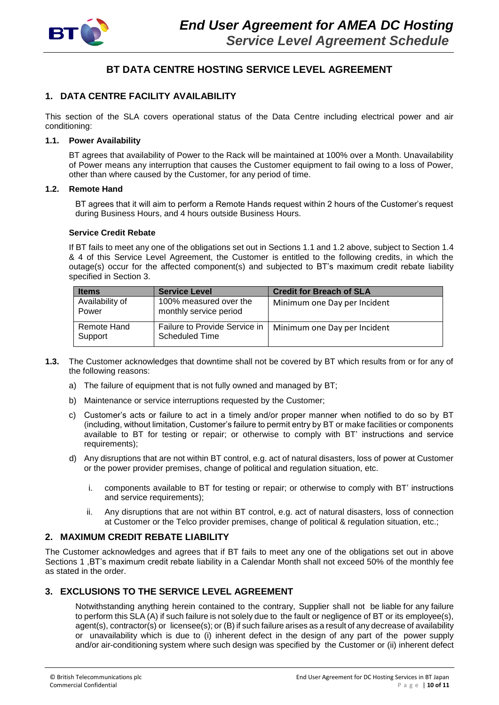

# **BT DATA CENTRE HOSTING SERVICE LEVEL AGREEMENT**

# **1. DATA CENTRE FACILITY AVAILABILITY**

This section of the SLA covers operational status of the Data Centre including electrical power and air conditioning:

#### **1.1. Power Availability**

BT agrees that availability of Power to the Rack will be maintained at 100% over a Month. Unavailability of Power means any interruption that causes the Customer equipment to fail owing to a loss of Power, other than where caused by the Customer, for any period of time.

#### **1.2. Remote Hand**

BT agrees that it will aim to perform a Remote Hands request within 2 hours of the Customer's request during Business Hours, and 4 hours outside Business Hours.

#### **Service Credit Rebate**

If BT fails to meet any one of the obligations set out in Sections 1.1 and 1.2 above, subject to Section 1.4 & 4 of this Service Level Agreement, the Customer is entitled to the following credits, in which the outage(s) occur for the affected component(s) and subjected to BT's maximum credit rebate liability specified in Section 3.

| <b>Items</b>             | <b>Service Level</b>                                   | <b>Credit for Breach of SLA</b> |
|--------------------------|--------------------------------------------------------|---------------------------------|
| Availability of<br>Power | 100% measured over the<br>monthly service period       | Minimum one Day per Incident    |
| Remote Hand<br>Support   | Failure to Provide Service in<br><b>Scheduled Time</b> | Minimum one Day per Incident    |

- **1.3.** The Customer acknowledges that downtime shall not be covered by BT which results from or for any of the following reasons:
	- a) The failure of equipment that is not fully owned and managed by BT;
	- b) Maintenance or service interruptions requested by the Customer;
	- c) Customer's acts or failure to act in a timely and/or proper manner when notified to do so by BT (including, without limitation, Customer's failure to permit entry by BT or make facilities or components available to BT for testing or repair; or otherwise to comply with BT' instructions and service requirements);
	- d) Any disruptions that are not within BT control, e.g. act of natural disasters, loss of power at Customer or the power provider premises, change of political and regulation situation, etc.
		- i. components available to BT for testing or repair; or otherwise to comply with BT' instructions and service requirements);
		- ii. Any disruptions that are not within BT control, e.g. act of natural disasters, loss of connection at Customer or the Telco provider premises, change of political & regulation situation, etc.;

#### **2. MAXIMUM CREDIT REBATE LIABILITY**

The Customer acknowledges and agrees that if BT fails to meet any one of the obligations set out in above Sections 1 ,BT's maximum credit rebate liability in a Calendar Month shall not exceed 50% of the monthly fee as stated in the order.

# **3. EXCLUSIONS TO THE SERVICE LEVEL AGREEMENT**

Notwithstanding anything herein contained to the contrary, Supplier shall not be liable for any failure to perform this SLA (A) if such failure is not solely due to the fault or negligence of BT or its employee(s), agent(s), contractor(s) or licensee(s); or (B) if such failure arises as a result of any decrease of availability or unavailability which is due to (i) inherent defect in the design of any part of the power supply and/or air-conditioning system where such design was specified by the Customer or (ii) inherent defect